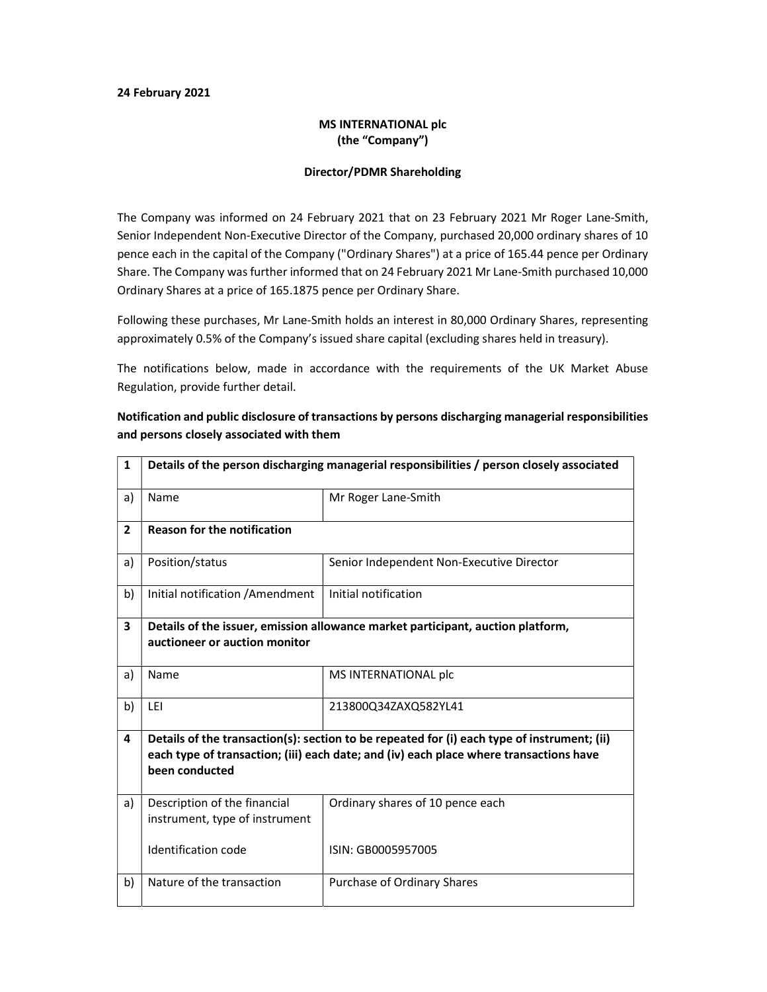## 24 February 2021

## MS INTERNATIONAL plc (the "Company")

## Director/PDMR Shareholding

The Company was informed on 24 February 2021 that on 23 February 2021 Mr Roger Lane-Smith, Senior Independent Non-Executive Director of the Company, purchased 20,000 ordinary shares of 10 pence each in the capital of the Company ("Ordinary Shares") at a price of 165.44 pence per Ordinary Share. The Company was further informed that on 24 February 2021 Mr Lane-Smith purchased 10,000 Ordinary Shares at a price of 165.1875 pence per Ordinary Share.

Following these purchases, Mr Lane-Smith holds an interest in 80,000 Ordinary Shares, representing approximately 0.5% of the Company's issued share capital (excluding shares held in treasury).

The notifications below, made in accordance with the requirements of the UK Market Abuse Regulation, provide further detail.

| $\mathbf{1}$            | Details of the person discharging managerial responsibilities / person closely associated                                                                                                               |                                           |
|-------------------------|---------------------------------------------------------------------------------------------------------------------------------------------------------------------------------------------------------|-------------------------------------------|
| a)                      | Name                                                                                                                                                                                                    | Mr Roger Lane-Smith                       |
| $\overline{2}$          | <b>Reason for the notification</b>                                                                                                                                                                      |                                           |
| a)                      | Position/status                                                                                                                                                                                         | Senior Independent Non-Executive Director |
| b)                      | Initial notification / Amendment                                                                                                                                                                        | Initial notification                      |
| $\overline{\mathbf{3}}$ | Details of the issuer, emission allowance market participant, auction platform,<br>auctioneer or auction monitor                                                                                        |                                           |
| a)                      | Name                                                                                                                                                                                                    | MS INTERNATIONAL plc                      |
| b)                      | LEI                                                                                                                                                                                                     | 213800Q34ZAXQ582YL41                      |
| 4                       | Details of the transaction(s): section to be repeated for (i) each type of instrument; (ii)<br>each type of transaction; (iii) each date; and (iv) each place where transactions have<br>been conducted |                                           |
| a)                      | Description of the financial<br>instrument, type of instrument                                                                                                                                          | Ordinary shares of 10 pence each          |
|                         | Identification code                                                                                                                                                                                     | ISIN: GB0005957005                        |
| b)                      | Nature of the transaction                                                                                                                                                                               | Purchase of Ordinary Shares               |

Notification and public disclosure of transactions by persons discharging managerial responsibilities and persons closely associated with them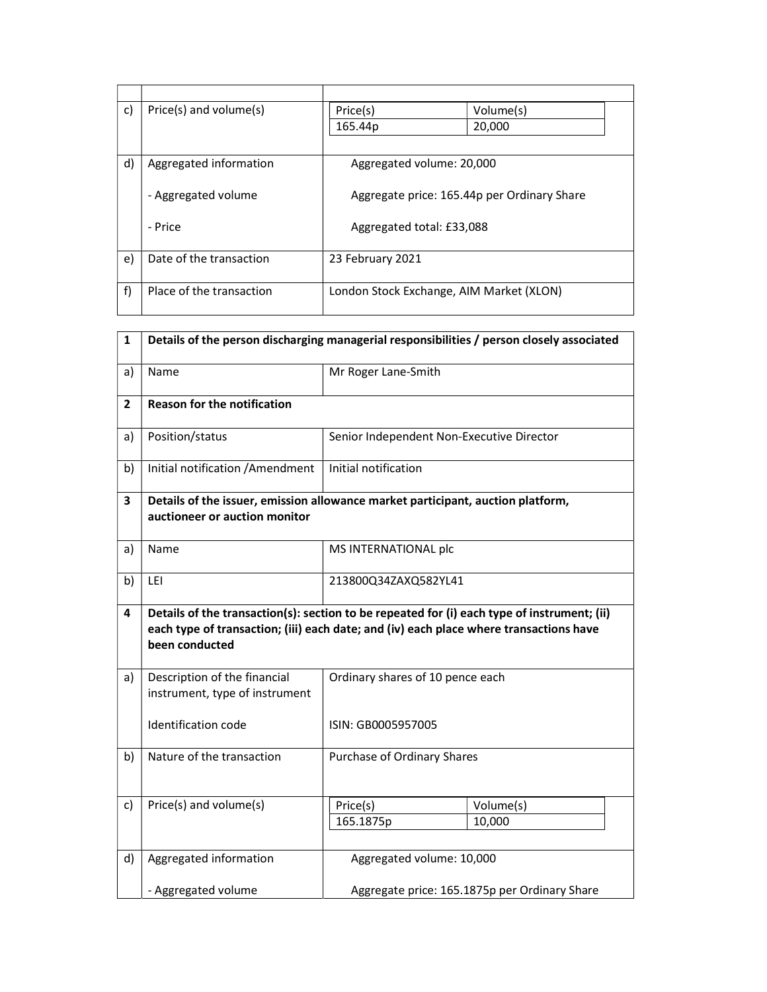| $\mathsf{c}$ | Price(s) and volume(s)   | Price(s)                                 | Volume(s)                                   |
|--------------|--------------------------|------------------------------------------|---------------------------------------------|
|              |                          | 165.44p                                  | 20,000                                      |
|              |                          |                                          |                                             |
| d)           | Aggregated information   | Aggregated volume: 20,000                |                                             |
|              |                          |                                          |                                             |
|              | - Aggregated volume      |                                          | Aggregate price: 165.44p per Ordinary Share |
|              |                          |                                          |                                             |
|              | - Price                  | Aggregated total: £33,088                |                                             |
|              |                          |                                          |                                             |
| e)           | Date of the transaction  | 23 February 2021                         |                                             |
|              |                          |                                          |                                             |
| f)           | Place of the transaction | London Stock Exchange, AIM Market (XLON) |                                             |
|              |                          |                                          |                                             |

| $\mathbf{1}$ | Details of the person discharging managerial responsibilities / person closely associated                                                                                                               |                                           |                                               |
|--------------|---------------------------------------------------------------------------------------------------------------------------------------------------------------------------------------------------------|-------------------------------------------|-----------------------------------------------|
| a)           | Name                                                                                                                                                                                                    | Mr Roger Lane-Smith                       |                                               |
| $\mathbf{2}$ | <b>Reason for the notification</b>                                                                                                                                                                      |                                           |                                               |
| a)           | Position/status                                                                                                                                                                                         | Senior Independent Non-Executive Director |                                               |
| b)           | Initial notification / Amendment                                                                                                                                                                        | Initial notification                      |                                               |
| 3            | Details of the issuer, emission allowance market participant, auction platform,<br>auctioneer or auction monitor                                                                                        |                                           |                                               |
| a)           | Name                                                                                                                                                                                                    | MS INTERNATIONAL plc                      |                                               |
| b)           | LEI                                                                                                                                                                                                     | 213800Q34ZAXQ582YL41                      |                                               |
| 4            | Details of the transaction(s): section to be repeated for (i) each type of instrument; (ii)<br>each type of transaction; (iii) each date; and (iv) each place where transactions have<br>been conducted |                                           |                                               |
| a)           | Description of the financial<br>instrument, type of instrument                                                                                                                                          | Ordinary shares of 10 pence each          |                                               |
|              | Identification code                                                                                                                                                                                     | ISIN: GB0005957005                        |                                               |
| b)           | Nature of the transaction                                                                                                                                                                               | Purchase of Ordinary Shares               |                                               |
| c)           | Price(s) and volume(s)                                                                                                                                                                                  | Price(s)<br>165.1875p                     | Volume(s)<br>10,000                           |
| d)           | Aggregated information                                                                                                                                                                                  | Aggregated volume: 10,000                 |                                               |
|              | - Aggregated volume                                                                                                                                                                                     |                                           | Aggregate price: 165.1875p per Ordinary Share |